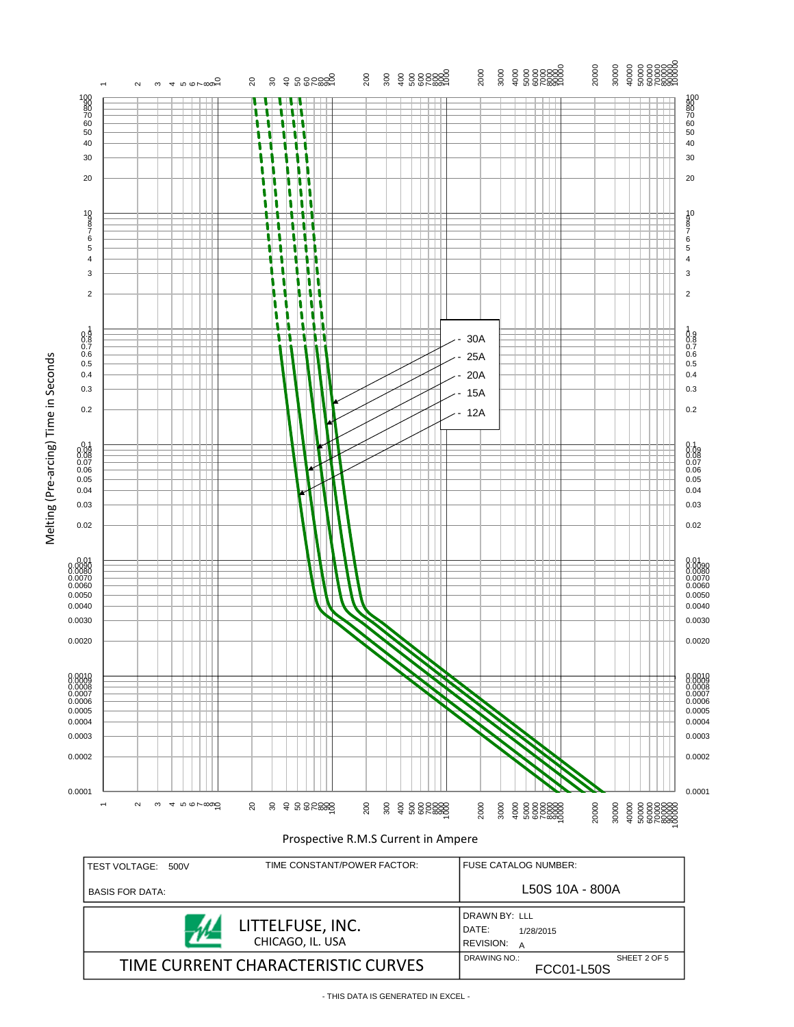



SHEET 2 OF 5

FCC01-L50S

TIME CURRENT CHARACTERISTIC CURVES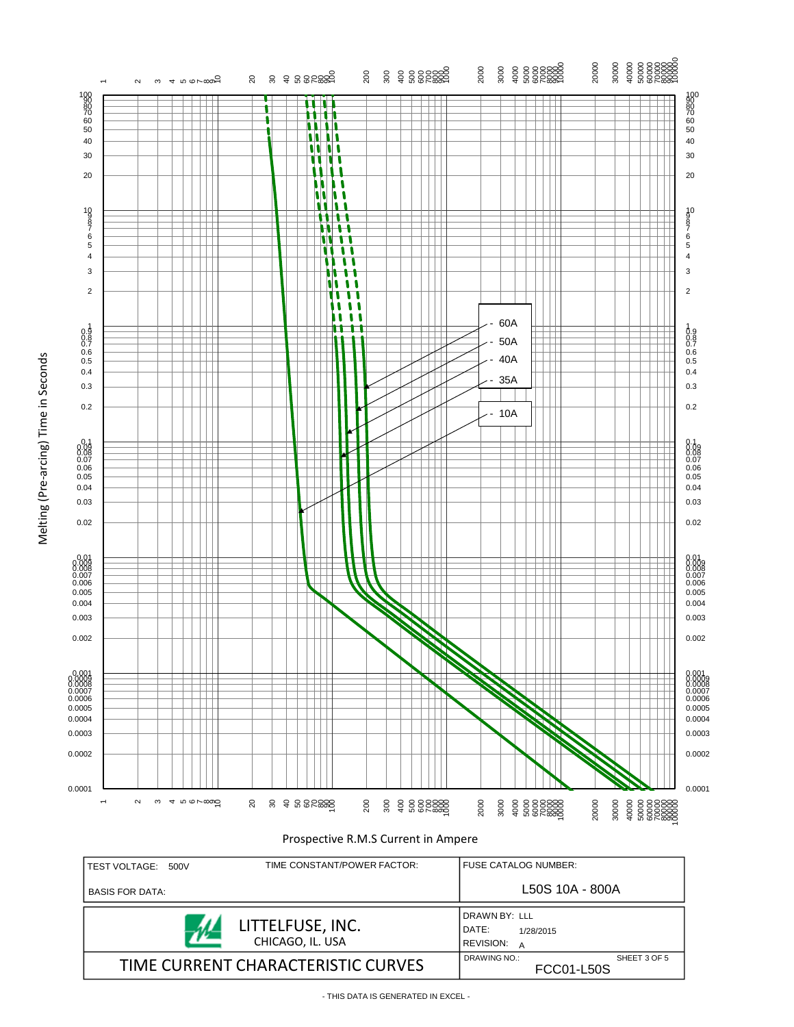Melting (Pre-arcing) Time in Seconds Melting (Pre-arcing) Time in Seconds

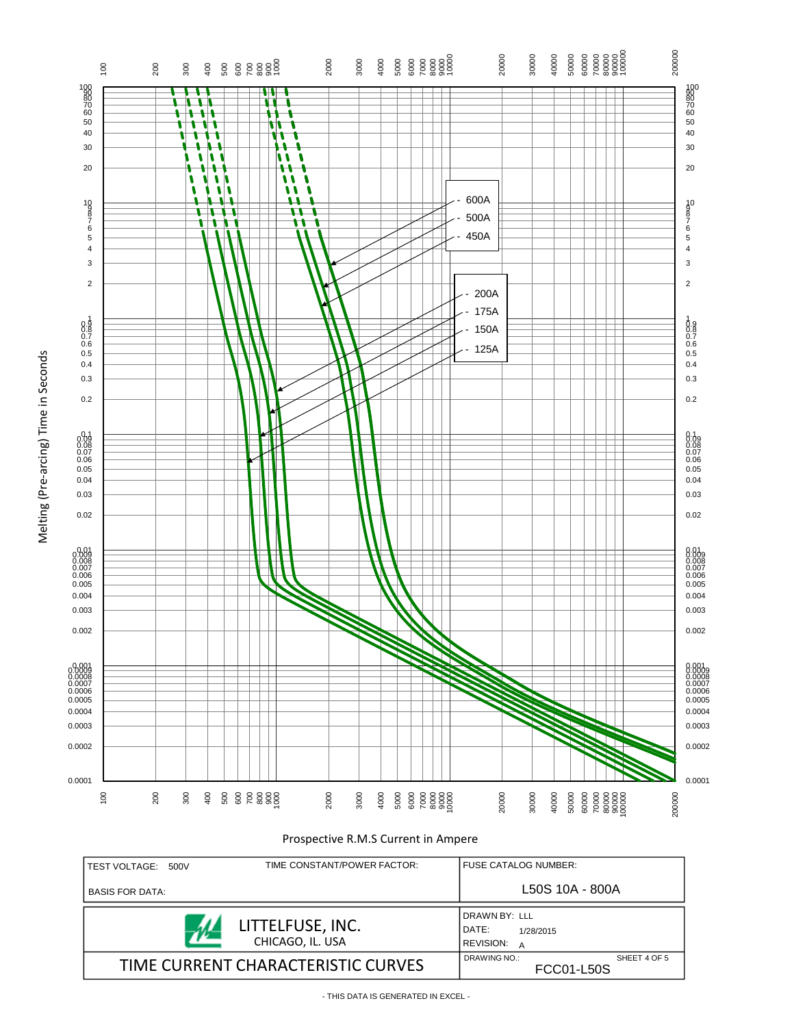

Prospective R.M.S Current in Ampere

| TEST VOLTAGE:<br>500V              | TIME CONSTANT/POWER FACTOR:          | <b>FUSE CATALOG NUMBER:</b>                                  |              |  |
|------------------------------------|--------------------------------------|--------------------------------------------------------------|--------------|--|
| <b>BASIS FOR DATA:</b>             |                                      | L50S 10A - 800A                                              |              |  |
|                                    | LITTELFUSE, INC.<br>CHICAGO, IL. USA | DRAWN BY: LLL<br>DATE:<br>1/28/2015<br><b>REVISION:</b><br>A |              |  |
| TIME CURRENT CHARACTERISTIC CURVES |                                      | DRAWING NO.:<br>FCC01-L50S                                   | SHEET 4 OF 5 |  |

0.0003 0.0002 0.0001

Melting (Pre-arcing) Time in Seconds

Melting (Pre-arcing) Time in Seconds

- THIS DATA IS GENERATED IN EXCEL -